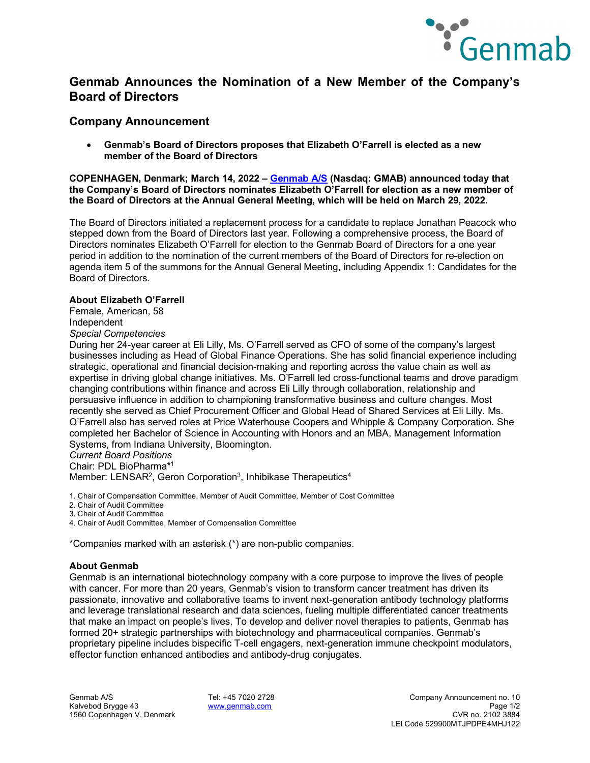

## **Genmab Announces the Nomination of a New Member of the Company's Board of Directors**

### **Company Announcement**

• **Genmab's Board of Directors proposes that Elizabeth O'Farrell is elected as a new member of the Board of Directors**

**COPENHAGEN, Denmark; March 14, 2022 – [Genmab A/S](https://www.genmab.com/) (Nasdaq: GMAB) announced today that the Company's Board of Directors nominates Elizabeth O'Farrell for election as a new member of the Board of Directors at the Annual General Meeting, which will be held on March 29, 2022.** 

The Board of Directors initiated a replacement process for a candidate to replace Jonathan Peacock who stepped down from the Board of Directors last year. Following a comprehensive process, the Board of Directors nominates Elizabeth O'Farrell for election to the Genmab Board of Directors for a one year period in addition to the nomination of the current members of the Board of Directors for re-election on agenda item 5 of the summons for the Annual General Meeting, including Appendix 1: Candidates for the Board of Directors.

#### **About Elizabeth O'Farrell**

Female, American, 58 Independent

*Special Competencies*

During her 24-year career at Eli Lilly, Ms. O'Farrell served as CFO of some of the company's largest businesses including as Head of Global Finance Operations. She has solid financial experience including strategic, operational and financial decision-making and reporting across the value chain as well as expertise in driving global change initiatives. Ms. O'Farrell led cross-functional teams and drove paradigm changing contributions within finance and across Eli Lilly through collaboration, relationship and persuasive influence in addition to championing transformative business and culture changes. Most recently she served as Chief Procurement Officer and Global Head of Shared Services at Eli Lilly. Ms. O'Farrell also has served roles at Price Waterhouse Coopers and Whipple & Company Corporation. She completed her Bachelor of Science in Accounting with Honors and an MBA, Management Information Systems, from Indiana University, Bloomington.

*Current Board Positions*

Chair: PDL BioPharma\*1

Member: LENSAR<sup>2</sup>, Geron Corporation<sup>3</sup>, Inhibikase Therapeutics<sup>4</sup>

1. Chair of Compensation Committee, Member of Audit Committee, Member of Cost Committee

2. Chair of Audit Committee

3. Chair of Audit Committee

4. Chair of Audit Committee, Member of Compensation Committee

\*Companies marked with an asterisk (\*) are non-public companies.

#### **About Genmab**

Genmab is an international biotechnology company with a core purpose to improve the lives of people with cancer. For more than 20 years, Genmab's vision to transform cancer treatment has driven its passionate, innovative and collaborative teams to invent next-generation antibody technology platforms and leverage translational research and data sciences, fueling multiple differentiated cancer treatments that make an impact on people's lives. To develop and deliver novel therapies to patients, Genmab has formed 20+ strategic partnerships with biotechnology and pharmaceutical companies. Genmab's proprietary pipeline includes bispecific T-cell engagers, next-generation immune checkpoint modulators, effector function enhanced antibodies and antibody-drug conjugates.